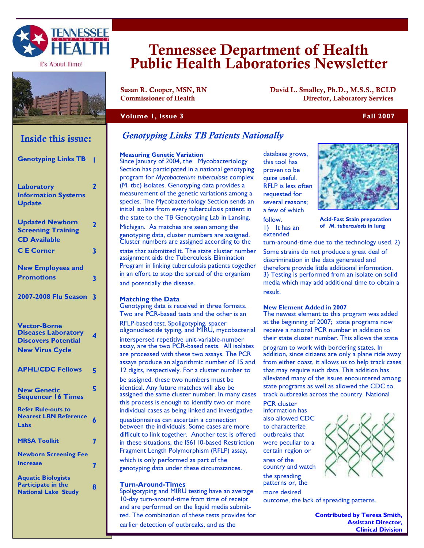

It's About Time!



# Tennessee Department of Health Public Health Laboratories Newsletter

Susan R. Cooper, MSN, RN David L. Smalley, Ph.D., M.S.S., BCLD Commissioner of Health Director, Laboratory Services

## **Volume 1, Issue 3 Fall 2007**

# **Inside this issue:**

| <b>Genotyping Links TB</b>                                                                                | ı                       |
|-----------------------------------------------------------------------------------------------------------|-------------------------|
| Laboratory<br><b>Information Systems</b><br><b>Update</b>                                                 | $\overline{\mathbf{2}}$ |
| <b>Updated Newborn</b><br><b>Screening Training</b><br><b>CD Available</b>                                | $\overline{\mathbf{2}}$ |
| <b>CE</b> Corner                                                                                          | 3                       |
| <b>New Employees and</b><br><b>Promotions</b>                                                             | 3                       |
| 2007-2008 Flu Season                                                                                      | 3                       |
| <b>Vector-Borne</b><br><b>Diseases Laboratory</b><br><b>Discovers Potential</b><br><b>New Virus Cycle</b> | 4                       |
| <b>APHL/CDC Fellows</b>                                                                                   | 5                       |
| <b>New Genetic</b><br><b>Sequencer 16 Times</b>                                                           | 5                       |
| <b>Refer Rule-outs to</b><br><b>Nearest LRN Reference</b><br>Labs                                         | 6                       |
| <b>MRSA Toolkit</b>                                                                                       | 7                       |
| <b>Newborn Screening Fee</b><br><b>Increase</b>                                                           | 7                       |
| <b>Aquatic Biologists</b><br><b>Participate in the</b><br><b>National Lake Study</b>                      | 8                       |

# *Genotyping Links TB Patients Nationally*

#### **Measuring Genetic Variation**

Since January of 2004, the Mycobacteriology Section has participated in a national genotyping program for *Mycobacterium tuberculosis* complex (M. tbc) isolates. Genotyping data provides a measurement of the genetic variations among a species. The Mycobacteriology Section sends an initial isolate from every tuberculosis patient in the state to the TB Genotyping Lab in Lansing,

Michigan. As matches are seen among the genotyping data, cluster numbers are assigned. Cluster numbers are assigned according to the state that submitted it. The state cluster number assignment aids the Tuberculosis Elimination Program in linking tuberculosis patients together in an effort to stop the spread of the organism and potentially the disease.

#### **Matching the Data**

Genotyping data is received in three formats. Two are PCR-based tests and the other is an

RFLP-based test. Spoligotyping, spacer oligonucleotide typing, and MIRU, mycobacterial

interspersed repetitive unit-variable-number assay, are the two PCR-based tests. All isolates are processed with these two assays. The PCR assays produce an algorithmic number of 15 and 12 digits, respectively. For a cluster number to

be assigned, these two numbers must be identical. Any future matches will also be assigned the same cluster number. In many cases this process is enough to identify two or more individual cases as being linked and investigative

questionnaires can ascertain a connection between the individuals. Some cases are more difficult to link together. Another test is offered in these situations, the IS6110-based Restriction Fragment Length Polymorphism (RFLP) assay, which is only performed as part of the genotyping data under these circumstances.

#### **Turn-Around-Times**

Spoligotyping and MIRU testing have an average 10-day turn-around-time from time of receipt and are performed on the liquid media submitted. The combination of these tests provides for earlier detection of outbreaks, and as the

database grows, this tool has proven to be quite useful. RFLP is less often requested for several reasons; a few of which follow. 1) It has an

extended



**Acid-Fast Stain preparation of** *M. tuberculosis* **in lung** 

turn-around-time due to the technology used. 2)

Some strains do not produce a great deal of discrimination in the data generated and therefore provide little additional information. 3) Testing is performed from an isolate on solid media which may add additional time to obtain a result.

#### **New Element Added in 2007**

The newest element to this program was added at the beginning of 2007; state programs now receive a national PCR number in addition to their state cluster number. This allows the state program to work with bordering states. In addition, since citizens are only a plane ride away from either coast, it allows us to help track cases that may require such data. This addition has alleviated many of the issues encountered among state programs as well as allowed the CDC to track outbreaks across the country. National

PCR cluster information has also allowed CDC to characterize outbreaks that were peculiar to a certain region or

area of the country and watch the spreading patterns or, the more desired

outcome, the lack of spreading patterns.

**Contributed by Teresa Smith, Assistant Director, Clinical Division** 

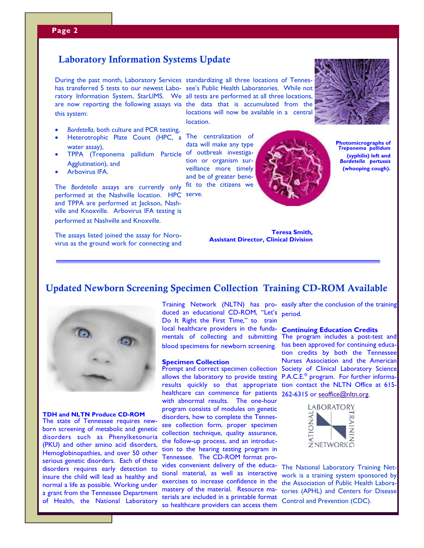l

# Laboratory Information Systems Update Laboratory Information Systems Update

has transferred 5 tests to our newest Labo-see's Public Health Laboratories. While not ratory Information System, StarLIMS. We all tests are performed at all three locations, are now reporting the following assays via the data that is accumulated from the this system:

- -*Bordetella*, both culture and PCR testing,
- -Heterotrophic Plate Count (HPC, a The centralization of water assay),
- - TPPA (Treponema pallidum Particle of outbreak investiga-Agglutination), and
- -Arbovirus IFA.

The *Bordetella* assays are currently only performed at the Nashville location. HPC serve. and TPPA are performed at Jackson, Nashville and Knoxville. Arbovirus IFA testing is performed at Nashville and Knoxville.

The assays listed joined the assay for Norovirus as the ground work for connecting and

During the past month, Laboratory Services standardizing all three locations of Tenneslocations will now be available in a central location.

> data will make any type tion or organism surveillance more timely and be of greater benefit to the citizens we



**Photomicrographs of**  *Treponema pallidum*  **(syphilis) left and**  *Bordetella pertussis* **(whooping cough).** 

**Teresa Smith, Assistant Director, Clinical Division** 

# Updated Newborn Screening Specimen Collection Training CD-ROM Available



**TDH and NLTN Produce CD-ROM**  The state of Tennessee requires new-

born screening of metabolic and genetic disorders such as Phenylketonuria (PKU) and other amino acid disorders, Hemoglobinopathies, and over 50 other serious genetic disorders. Each of these disorders requires early detection to insure the child will lead as healthy and normal a life as possible. Working under a grant from the Tennessee Department of Health, the National Laboratory

duced an educational CD-ROM, "Let's period. Do It Right the First Time," to train local healthcare providers in the fundamentals of collecting and submitting The program includes a post-test and blood specimens for newborn screening.

#### **Specimen Collection**

Prompt and correct specimen collection allows the laboratory to provide testing results quickly so that appropriate tion contact the NLTN Office at 615healthcare can commence for patients 262-6315 or seoffice@nltn.org. with abnormal results. The one-hour program consists of modules on genetic disorders, how to complete the Tennessee collection form, proper specimen collection technique, quality assurance, the follow-up process, and an introduction to the hearing testing program in Tennessee. The CD-ROM format provides convenient delivery of the educational material, as well as interactive exercises to increase confidence in the mastery of the material. Resource materials are included in a printable format so healthcare providers can access them

Training Network (NLTN) has pro-easily after the conclusion of the training

#### **Continuing Education Credits**

has been approved for continuing education credits by both the Tennessee Nurses Association and the American Society of Clinical Laboratory Science P.A.C.E.® program. For further informa-



The National Laboratory Training Network is a training system sponsored by the Association of Public Health Laboratories (APHL) and Centers for Disease Control and Prevention (CDC).

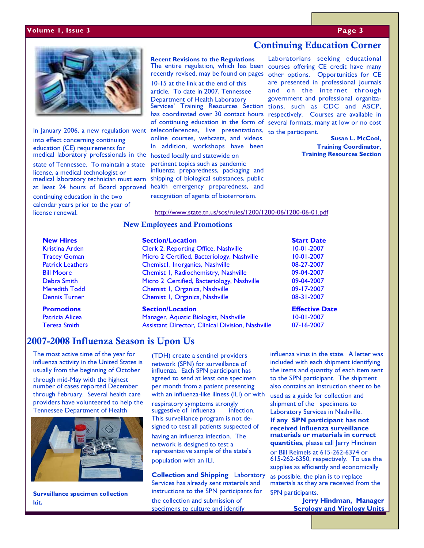#### **Volume 1, Issue 3 Page 3**



In January 2006, a new regulation went into effect concerning continuing education (CE) requirements for medical laboratory professionals in the state of Tennessee. To maintain a state license, a medical technologist or medical laboratory technician must earn at least 24 hours of Board approved continuing education in the two calendar years prior to the year of license renewal.

**Recent Revisions to the Regulations**  The entire regulation, which has been recently revised, may be found on pages

10-15 at the link at the end of this article. To date in 2007, Tennessee Department of Health Laboratory Services' Training Resources Section tions, such as CDC and ASCP, has coordinated over 30 contact hours respectively. Courses are available in of continuing education in the form of several formats, many at low or no cost teleconferences, live presentations, online courses, webcasts, and videos. In addition, workshops have been hosted locally and statewide on

pertinent topics such as pandemic influenza preparedness, packaging and shipping of biological substances, public health emergency preparedness, and

recognition of agents of bioterrorism.

Laboratorians seeking educational courses offering CE credit have many other options. Opportunities for CE are presented in professional journals and on the internet through government and professional organizato the participant.

Continuing Education Corner

 **Susan L. McCool,** 

**Training Coordinator, Training Resources Section** 

#### http://www.state.tn.us/sos/rules/1200/1200-06/1200-06-01.pdf

## New Employees and Promotions

**New Hires Section/Location Start Date in the Start Date of Start Date Start Date Start Date Start Date Start Date According Start Date in Start Date Start Date Start Date Start Date Start Date Start Date Start Date Start** Tracey Goman Micro 2 Certified, Bacteriology, Nashville 10-01-2007 Patrick Leathers Chemist1, Inorganics, Nashville 08-27-2007 Bill Moore Chemist 1, Radiochemistry, Nashville 09-04-2007 Debra Smith Micro 2 Certified, Bacteriology, Nashville 09-04-2007 Dennis Turner Chemist 1, Organics, Nashville 08-31-2007

Patricia Alicea Manager, Aquatic Biologist, Nashville 10-01-2007 Assistant Director, Clinical Division, Nashville 07-16-2007

2007-2008 Influenza Season is Upon Us

The most active time of the year for  $\overline{ADH}$  create a sentinel prov influenza activity in the United States is usually from the beginning of October

through mid-May with the highest number of cases reported December through February. Several health care providers have volunteered to help the Tennessee Department of Health



**Surveillance specimen collection kit.** 

(TDH) create a sentinel providers network (SPN) for surveillance of influenza. Each SPN participant has agreed to send at least one specimen per month from a patient presenting with an influenza-like illness (ILI) or with

respiratory symptoms strongly suggestive of influenza infection. This surveillance program is not designed to test all patients suspected of

having an influenza infection. The network is designed to test a representative sample of the state's population with an ILI.

**Collection and Shipping** Laboratory Services has already sent materials and instructions to the SPN participants for the collection and submission of specimens to culture and identify

influenza virus in the state. A letter was included with each shipment identifying the items and quantity of each item sent to the SPN participant. The shipment also contains an instruction sheet to be used as a guide for collection and shipment of the specimens to Laboratory Services in Nashville. **If any SPN participant has not received influenza surveillance materials or materials in correct quantities**, please call Jerry Hindman or Bill Reimels at 615-262-6374 or 615-262-6350, respectively. To use the supplies as efficiently and economically as possible, the plan is to replace materials as they are received from the

SPN participants. **Jerry Hindman, Manager Serology and Virology Units** 

| <b>Promotions</b>       | <b>Section/Location</b>                    | <b>Effective Date</b> |
|-------------------------|--------------------------------------------|-----------------------|
| <b>Dennis Turner</b>    | Chemist I, Organics, Nashville             | 08-31-2007            |
| <b>Meredith Todd</b>    | Chemist I, Organics, Nashville             | 09-17-2007            |
| Debra Smith             | Micro 2 Certified, Bacteriology, Nashville | 09-04-2007            |
| <b>Bill Moore</b>       | Chemist I, Radiochemistry, Nashville       | 09-04-2007            |
| <b>Patrick Leathers</b> | Chemist1, Inorganics, Nashville            | 08-27-2007            |
| <b>Tracey Goman</b>     | Micro 2 Certified, Bacteriology, Nashville | $10-01-2007$          |
| Kristina Arden          | Clerk 2, Reporting Office, Nashville       | $10-01-2007$          |
|                         |                                            |                       |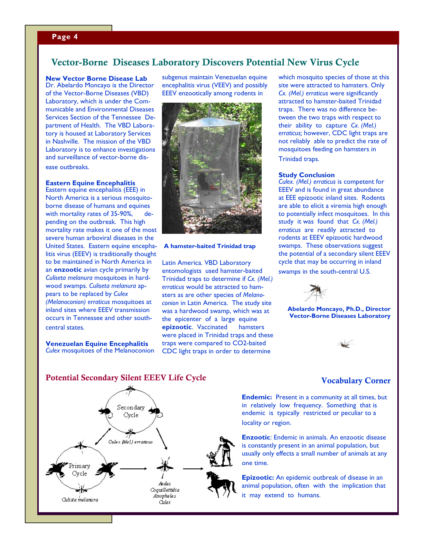## **Page 4**

# Vector-Borne Diseases Laboratory Discovers Potential New Virus Cycle

**New Vector Borne Disease Lab**  Dr. Abelardo Moncayo is the Director

of the Vector-Borne Diseases (VBD) Laboratory, which is under the Communicable and Environmental Diseases Services Section of the Tennessee Department of Health. The VBD Laboratory is housed at Laboratory Services in Nashville. The mission of the VBD Laboratory is to enhance investigations and surveillance of vector-borne disease outbreaks.

# **Eastern Equine Encephalitis**

Eastern equine encephalitis (EEE) in North America is a serious mosquitoborne disease of humans and equines with mortality rates of 35-90%, depending on the outbreak. This high mortality rate makes it one of the most severe human arboviral diseases in the United States. Eastern equine encephalitis virus (EEEV) is traditionally thought to be maintained in North America in an **enzootic** avian cycle primarily by *Culiseta melanura* mosquitoes in hardwood swamps. *Culiseta melanura* appears to be replaced by *Culex (Melanoconion) erraticus* mosquitoes at inland sites where EEEV transmission occurs in Tennessee and other southcentral states.

**Venezuelan Equine Encephalitis**  *Culex* mosquitoes of the Melanoconion subgenus maintain Venezuelan equine encephalitis virus (VEEV) and possibly EEEV enzootically among rodents in



#### **A hamster-baited Trinidad trap**

Latin America. VBD Laboratory entomologists used hamster-baited Trinidad traps to determine if *Cx. (Mel.) erraticus* would be attracted to hamsters as are other species of *Melanoconion* in Latin America. The study site was a hardwood swamp, which was at the epicenter of a large equine **epizootic**. Vaccinated hamsters were placed in Trinidad traps and these traps were compared to CO2-baited CDC light traps in order to determine

which mosquito species of those at this site were attracted to hamsters. Only *Cx. (Mel.) erraticus* were significantly attracted to hamster-baited Trinidad traps. There was no difference between the two traps with respect to their ability to capture *Cx. (Mel.) erraticus;* however, CDC light traps are not reliably able to predict the rate of mosquitoes feeding on hamsters in Trinidad traps.

**Tennessee Department of Health** 

#### **Study Conclusion**

*Culex. (Mel.) erraticus* is competent for EEEV and is found in great abundance at EEE epizootic inland sites. Rodents are able to elicit a viremia high enough to potentially infect mosquitoes. In this study it was found that *Cx. (Mel.) erraticus* are readily attracted to rodents at EEEV epizootic hardwood swamps. These observations suggest the potential of a secondary silent EEEV cycle that may be occurring in inland swamps in the south-central U.S.



**Abelardo Moncayo, Ph.D., Director Vector-Borne Diseases Laboratory** 

## Potential Secondary Silent EEEV Life Cycle



## Vocabulary Corner

**Endemic:** Present in a community at all times, but in relatively low frequency. Something that is endemic is typically restricted or peculiar to a locality or region.

**Enzootic**: Endemic in animals. An enzootic disease is constantly present in an animal population, but usually only effects a small number of animals at any one time.

**Epizootic:** An epidemic outbreak of disease in an animal population, often with the implication that it may extend to humans.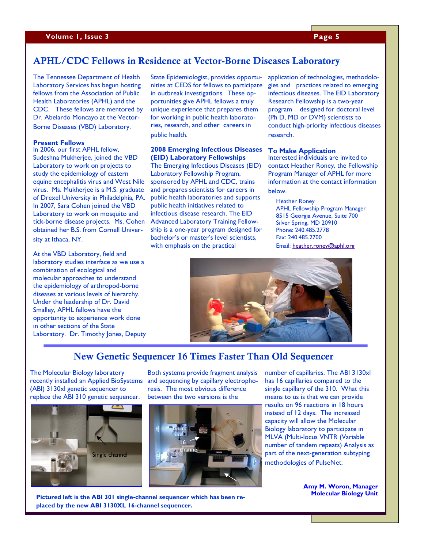# APHL/CDC Fellows in Residence at Vector-Borne Diseases Laboratory

The Tennessee Department of Health Laboratory Services has begun hosting fellows from the Association of Public Health Laboratories (APHL) and the CDC. These fellows are mentored by Dr. Abelardo Moncayo at the Vector-Borne Diseases (VBD) Laboratory.

#### **Present Fellows**

In 2006, our first APHL fellow, Sudeshna Mukherjee, joined the VBD Laboratory to work on projects to study the epidemiology of eastern equine encephalitis virus and West Nile virus. Ms. Mukherjee is a M.S. graduate of Drexel University in Philadelphia, PA. In 2007, Sara Cohen joined the VBD Laboratory to work on mosquito and tick-borne disease projects. Ms. Cohen obtained her B.S. from Cornell University at Ithaca, NY.

At the VBD Laboratory, field and laboratory studies interface as we use a combination of ecological and molecular approaches to understand the epidemiology of arthropod-borne diseases at various levels of hierarchy. Under the leadership of Dr. David Smalley, APHL fellows have the opportunity to experience work done in other sections of the State Laboratory. Dr. Timothy Jones, Deputy

State Epidemiologist, provides opportunities at CEDS for fellows to participate in outbreak investigations. These opportunities give APHL fellows a truly unique experience that prepares them for working in public health laboratories, research, and other careers in public health.

#### **2008 Emerging Infectious Diseases (EID) Laboratory Fellowships**

The Emerging Infectious Diseases (EID) Laboratory Fellowship Program, sponsored by APHL and CDC, trains and prepares scientists for careers in public health laboratories and supports public health initiatives related to infectious disease research. The EID Advanced Laboratory Training Fellowship is a one-year program designed for bachelor's or master's level scientists, with emphasis on the practical

application of technologies, methodologies and practices related to emerging infectious diseases. The EID Laboratory Research Fellowship is a two-year program designed for doctoral level (Ph D, MD or DVM) scientists to conduct high-priority infectious diseases research.

#### **To Make Application**

Interested individuals are invited to contact Heather Roney, the Fellowship Program Manager of APHL for more information at the contact information below.

Heather Roney APHL Fellowship Program Manager

8515 Georgia Avenue, Suite 700 Silver Spring, MD 20910 Phone: 240.485.2778 Fax: 240.485.2700

Email: heather.roney@aphl.org



# New Genetic Sequencer 16 Times Faster Than Old Sequencer

The Molecular Biology laboratory recently installed an Applied BioSystems (ABI) 3130xl genetic sequencer to replace the ABI 310 genetic sequencer.



Both systems provide fragment analysis and sequencing by capillary electrophoresis. The most obvious difference between the two versions is the



number of capillaries. The ABI 3130xl has 16 capillaries compared to the single capillary of the 310. What this means to us is that we can provide results on 96 reactions in 18 hours instead of 12 days. The increased capacity will allow the Molecular Biology laboratory to participate in MLVA (Multi-locus VNTR (Variable number of tandem repeats) Analysis as part of the next-generation subtyping methodologies of PulseNet.

> **Amy M. Woron, Manager Molecular Biology Unit**

**Pictured left is the ABI 301 single-channel sequencer which has been replaced by the new ABI 3130XL 16-channel sequencer.**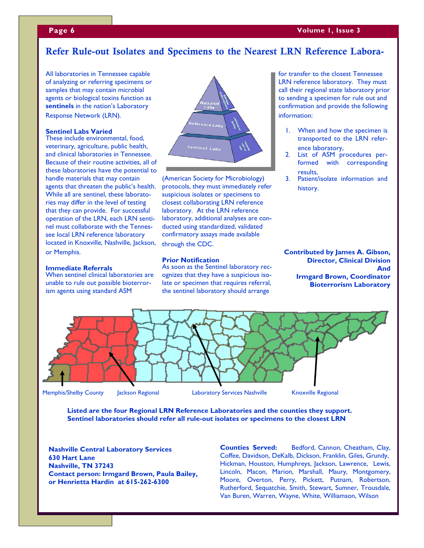# **Page 6**

l.

# Refer Rule-out Isolates and Specimens to the Nearest LRN Reference Labora-

All laboratories in Tennessee capable of analyzing or referring specimens or samples that may contain microbial agents or biological toxins function as **sentinels** in the nation's Laboratory Response Network (LRN).

#### **Sentinel Labs Varied**

These include environmental, food, veterinary, agriculture, public health, and clinical laboratories in Tennessee. Because of their routine activities, all of these laboratories have the potential to handle materials that may contain agents that threaten the public's health. While all are sentinel, these laboratories may differ in the level of testing that they can provide. For successful operation of the LRN, each LRN sentinel must collaborate with the Tennessee local LRN reference laboratory located in Knoxville, Nashville, Jackson, or Memphis.

#### **Immediate Referrals**

When sentinel clinical laboratories are unable to rule out possible bioterrorism agents using standard ASM



(American Society for Microbiology) protocols, they must immediately refer suspicious isolates or specimens to closest collaborating LRN reference laboratory. At the LRN reference laboratory, additional analyses are conducted using standardized, validated confirmatory assays made available through the CDC.

#### **Prior Notification**

As soon as the Sentinel laboratory recognizes that they have a suspicious isolate or specimen that requires referral, the sentinel laboratory should arrange

for transfer to the closest Tennessee LRN reference laboratory. They must call their regional state laboratory prior to sending a specimen for rule out and confirmation and provide the following information:

- 1. When and how the specimen is transported to the LRN reference laboratory,
- 2. List of ASM procedures performed with corresponding results,
- 3. Patient/isolate information and history.

**Contributed by James A. Gibson, Director, Clinical Division And Irmgard Brown, Coordinator Bioterrorism Laboratory** 



**Listed are the four Regional LRN Reference Laboratories and the counties they support. Sentinel laboratories should refer all rule-out isolates or specimens to the closest LRN** 

**Nashville Central Laboratory Services 630 Hart Lane Nashville, TN 37243 Contact person: Irmgard Brown, Paula Bailey, or Henrietta Hardin at 615-262-6300** 

**Counties Served:** Bedford, Cannon, Cheatham, Clay, Coffee, Davidson, DeKalb, Dickson, Franklin, Giles, Grundy, Hickman, Houston, Humphreys, Jackson, Lawrence, Lewis, Lincoln, Macon, Marion, Marshall, Maury, Montgomery, Moore, Overton, Perry, Pickett, Putnam, Robertson, Rutherford, Sequatchie, Smith, Stewart, Sumner, Trousdale, Van Buren, Warren, Wayne, White, Williamson, Wilson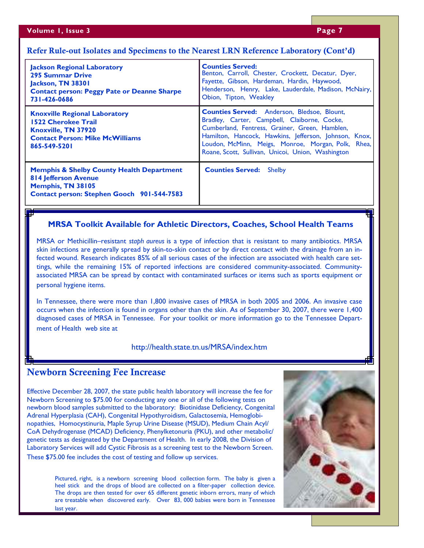# Refer Rule-out Isolates and Specimens to the Nearest LRN Reference Laboratory (Cont'd)

| <b>Jackson Regional Laboratory</b><br><b>295 Summar Drive</b><br>Jackson, TN 38301<br><b>Contact person: Peggy Pate or Deanne Sharpe</b><br>731-426-0686 | <b>Counties Served:</b><br>Benton, Carroll, Chester, Crockett, Decatur, Dyer,<br>Fayette, Gibson, Hardeman, Hardin, Haywood,<br>Henderson, Henry, Lake, Lauderdale, Madison, McNairy,<br>Obion, Tipton, Weakley                                                                                                          |
|----------------------------------------------------------------------------------------------------------------------------------------------------------|--------------------------------------------------------------------------------------------------------------------------------------------------------------------------------------------------------------------------------------------------------------------------------------------------------------------------|
| <b>Knoxville Regional Laboratory</b><br><b>1522 Cherokee Trail</b><br>Knoxville, TN 37920<br><b>Contact Person: Mike McWilliams</b><br>865-549-5201      | <b>Counties Served:</b> Anderson, Bledsoe, Blount,<br>Bradley, Carter, Campbell, Claiborne, Cocke,<br>Cumberland, Fentress, Grainer, Green, Hamblen,<br>Hamilton, Hancock, Hawkins, Jefferson, Johnson, Knox,<br>Loudon, McMinn, Meigs, Monroe, Morgan, Polk, Rhea,<br>Roane, Scott, Sullivan, Unicoi, Union, Washington |
| <b>Memphis &amp; Shelby County Health Department</b><br><b>814 Jefferson Avenue</b><br>Memphis, TN 38105<br>Contact person: Stephen Gooch 901-544-7583   | <b>Counties Served:</b> Shelby                                                                                                                                                                                                                                                                                           |

# **MRSA Toolkit Available for Athletic Directors, Coaches, School Health Teams**

MRSA or Methicillin–resistant *staph aureus* is a type of infection that is resistant to many antibiotics. MRSA skin infections are generally spread by skin-to-skin contact or by direct contact with the drainage from an infected wound. Research indicates 85% of all serious cases of the infection are associated with health care settings, while the remaining 15% of reported infections are considered community-associated. Communityassociated MRSA can be spread by contact with contaminated surfaces or items such as sports equipment or personal hygiene items.

In Tennessee, there were more than 1,800 invasive cases of MRSA in both 2005 and 2006. An invasive case occurs when the infection is found in organs other than the skin. As of September 30, 2007, there were 1,400 diagnosed cases of MRSA in Tennessee. For your toolkit or more information go to the Tennessee Department of Health web site at

## http://health.state.tn.us/MRSA/index.htm

# Newborn Screening Fee Increase

Effective December 28, 2007, the state public health laboratory will increase the fee for Newborn Screening to \$75.00 for conducting any one or all of the following tests on newborn blood samples submitted to the laboratory: Biotinidase Deficiency, Congenital Adrenal Hyperplasia (CAH), Congenital Hypothyroidism, Galactosemia, Hemoglobinopathies, Homocystinuria, Maple Syrup Urine Disease (MSUD), Medium Chain Acyl/ CoA Dehydrogenase (MCAD) Deficiency, Phenylketonuria (PKU), and other metabolic/ genetic tests as designated by the Department of Health. In early 2008, the Division of Laboratory Services will add Cystic Fibrosis as a screening test to the Newborn Screen. These \$75.00 fee includes the cost of testing and follow up services.

> Pictured, right, is a newborn screening blood collection form. The baby is given a heel stick and the drops of blood are collected on a filter-paper collection device. The drops are then tested for over 65 different genetic inborn errors, many of which are treatable when discovered early. Over 83, 000 babies were born in Tennessee last year.